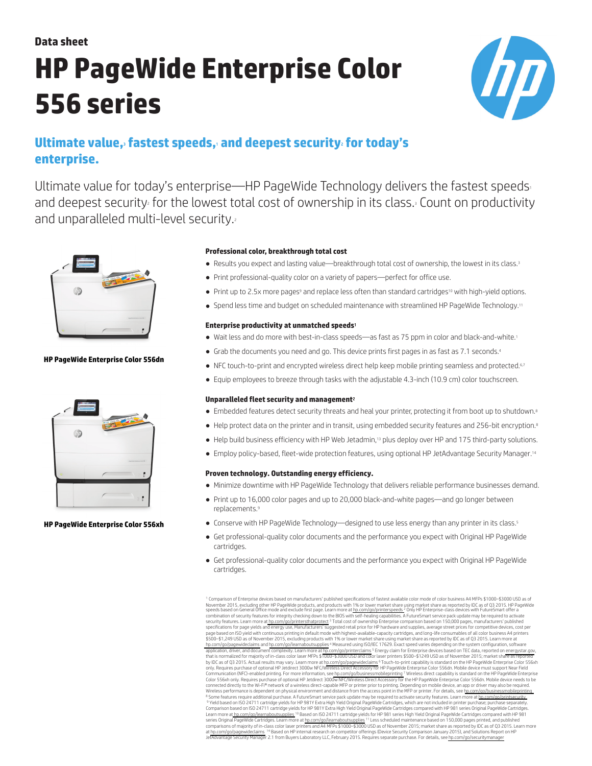# **Data sheet HP PageWide Enterprise Color 556 series**



# **Ultimate value,**<sup>3</sup> **fastest speeds,**<sup>1</sup> **and deepest security**<sup>2</sup> **for today's enterprise.**

Ultimate value for today's enterprise—HP PageWide Technology delivers the fastest speeds and deepest security for the lowest total cost of ownership in its class.<sup>3</sup> Count on productivity and unparalleled multi-level security.



# **HP PageWide Enterprise Color 556dn**



### **HP PageWide Enterprise Color 556xh**

# **Professional color, breakthrough total cost**

- Results you expect and lasting value—breakthrough total cost of ownership, the lowest in its class.<sup>3</sup>
- Print professional-quality color on a variety of papers—perfect for office use.
- Print up to 2.5x more pages<sup>9</sup> and replace less often than standard cartridges<sup>10</sup> with high-yield options.
- Spend less time and budget on scheduled maintenance with streamlined HP PageWide Technology.<sup>11</sup>

# **Enterprise productivity at unmatched speeds**<sup>1</sup>

- Wait less and do more with best-in-class speeds—as fast as 75 ppm in color and black-and-white.<sup>1</sup>
- Grab the documents you need and go. This device prints first pages in as fast as 7.1 seconds.<sup>4</sup>
- NFC touch-to-print and encrypted wireless direct help keep mobile printing seamless and protected.6.7
- Equip employees to breeze through tasks with the adjustable 4.3-inch (10.9 cm) color touchscreen.

### **Unparalleled fleet security and management**<sup>2</sup>

- Embedded features detect security threats and heal your printer, protecting it from boot up to shutdown.<sup>8</sup>
- Help protect data on the printer and in transit, using embedded security features and 256-bit encryption.<sup>8</sup>
- Help build business efficiency with HP Web Jetadmin,<sup>13</sup> plus deploy over HP and 175 third-party solutions.
- Employ policy-based, fleet-wide protection features, using optional HP JetAdvantage Security Manager.<sup>14</sup>

# **Proven technology. Outstanding energy efficiency.**

- Minimize downtime with HP PageWide Technology that delivers reliable performance businesses demand.
- Print up to 16,000 color pages and up to 20,000 black-and-white pages—and go longer between replacements<sup>9</sup>
- Conserve with HP PageWide Technology—designed to use less energy than any printer in its class.<sup>5</sup>
- Get professional-quality color documents and the performance you expect with Original HP PageWide cartridges.
- Get professional-quality color documents and the performance you expect with Original HP PageWide cartridges.

<sup>1</sup> Comparison of Enterprise devices based on manufacturers' published specifications of fastest available color mode of color business A4 MFPs \$1000–\$3000 USD as of November 2015, excluding other HP PageWide products, and products with 1% or lower market share using market share as reported by IDC as of 03 2015. HP PageWide<br>speeds based on General Office mode and exclude first page. L specifications for page yields and energy use, Manufacturers' suggested retail price for HP hardware and supplies, average street prices for competitive devices, cost per<br>page based on ISO yield with continuous printing to [hp.com/go/pagewideclaims](http://www.hp.com/go/pagewideclaims) and [hp.com/go/learnaboutsupplies](http://www.hp.com/go/learnaboutsupplies) <sup>4</sup> Measured using ISO/IEC 17629. Exact speed varies depending on the system configuration, software application, driver, and document complexity. Learn more a[t hp.com/go/printerclaims](http://www.hp.com/go/printerclaims) <sup>5</sup> Energy claim for Enterprise devices based on TEC data, reported on [energystar.gov](http://energystar.gov),<br>that is normalized for majority of inclass color ta only. Requires purchase of optional HP Jetdirect 3000w NFC/Wireless Direct Accessory for HP PageWide Enterprise Color 556dn. Mobile device must support Near Field<br>Communication (NFO-enabled printing. For more information, Wireless performance is dependent on physical environment and distance from the access point in the MFP or printer. For details, see hp.com/go/businessmobileprinting<br><sup>e</sup> Some features require additional purchament prevent Comparison based on ISO 24711 cartridge yields for HP 981Y Extra High Yield Original PageWide Cartridges compared with HP 981 series Original PageWide Cartridges.<br>Series Original PageWide Cartridges. Learn more at h.c.org/ at hp.com/go/pagewideclaims<sup>. 14</sup> Based on HP internal research on competitor offerings (Device Security Comparison January 2015), and Solutions Report on HP<br>JetAdvantage Security Manager 2.1 from Buyers Laboratory LLC, Fe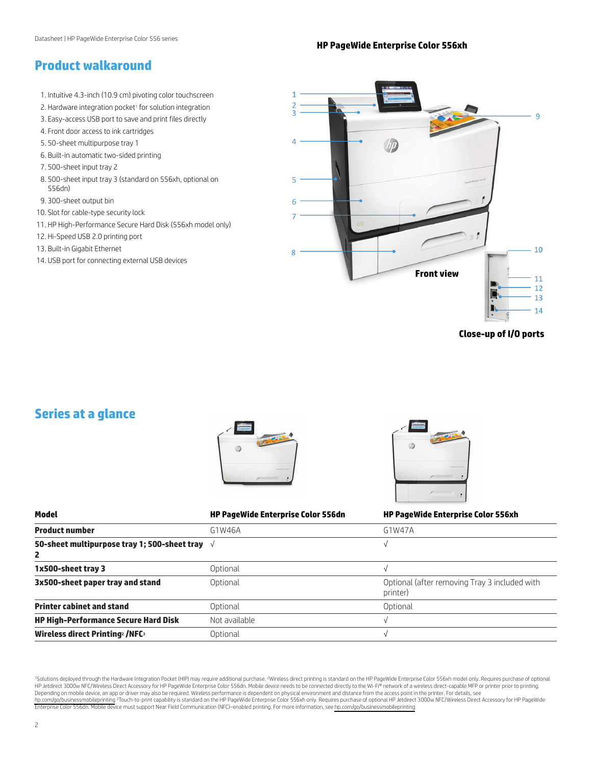# **HP PageWide Enterprise Color 556xh**

# **Product walkaround**

- 1. Intuitive 4.3-inch (10.9 cm) pivoting color touchscreen
- 2. Hardware integration pocket<sup>1</sup> for solution integration
- 3. Easy-access USB port to save and print files directly
- 4. Front door access to ink cartridges
- 5. 50-sheet multipurpose tray 1
- 6. Built-in automatic two-sided printing
- 7. 500-sheet input tray 2
- 8. 500-sheet input tray 3 (standard on 556xh, optional on 556dn)
- 9. 300-sheet output bin
- 10. Slot for cable-type security lock
- 11. HP High-Performance Secure Hard Disk (556xh model only)
- 12. Hi-Speed USB 2.0 printing port
- 13. Built-in Gigabit Ethernet
- 14. USB port for connecting external USB devices



**Close-up of I/O ports**

# **Series at a glance**

| Model                                                        | <b>HP PageWide Enterprise Color 556dn</b> | <b>HP PageWide Enterprise Color 556xh</b>                 |
|--------------------------------------------------------------|-------------------------------------------|-----------------------------------------------------------|
| <b>Product number</b>                                        | G1W46A                                    | G1W47A                                                    |
| 50-sheet multipurpose tray 1; 500-sheet tray $\sqrt{ }$<br>2 |                                           |                                                           |
| 1x500-sheet tray 3                                           | Optional                                  | V                                                         |
| 3x500-sheet paper tray and stand                             | Optional                                  | Optional (after removing Tray 3 included with<br>printer) |
| <b>Printer cabinet and stand</b>                             | Optional                                  | Optional                                                  |
| <b>HP High-Performance Secure Hard Disk</b>                  | Not available                             |                                                           |
| <b>Wireless direct Printing<sup>2</sup>/NFC<sup>3</sup></b>  | Optional                                  |                                                           |

<sup>1</sup>Solutions deployed through the Hardware Integration Pocket (HIP) may require additional purchase. <sup>2</sup>Wireless direct printing is standard on the HP PageWide Enterprise Color 556xh model only. Requires purchase of option HP Jetdirect 3000w NFC/Wireless Direct Accessory for HP PageWide Enterprise Color 556dn. Mobile device needs to be connected directly to the Wi-Fi® network of a wireless direct-capable MFP or printer prior to printing. Depending on mobile device, an app or driver may also be required. Wireless performance is dependent on physical environment and distance from the access point in the printer. For details, see<br>hp.com/go/businessmobileprint Enterprise Color 556dn. Mobile device must support Near Field Communication (NFC)–enabled printing. For more information, see [hp.com/go/businessmobileprinting](http://hp.com/go/businessmobileprinting)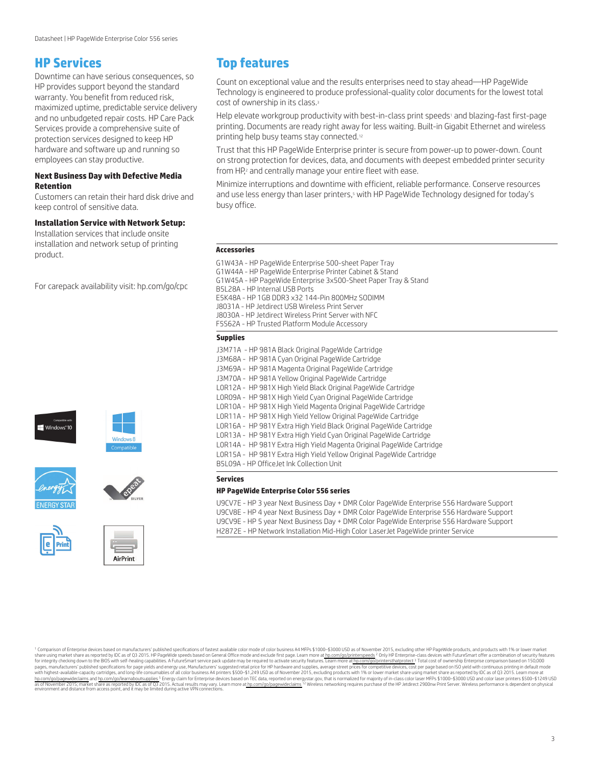# **HP Services**

Downtime can have serious consequences, so HP provides support beyond the standard warranty. You benefit from reduced risk, maximized uptime, predictable service delivery and no unbudgeted repair costs. HP Care Pack Services provide a comprehensive suite of protection services designed to keep HP hardware and software up and running so employees can stay productive.

# **Next Business Day with Defective Media Retention**

Customers can retain their hard disk drive and keep control of sensitive data.

# **Installation Service with Network Setup:**

Installation services that include onsite installation and network setup of printing product.

For carepack availability visit: [hp.com/go/cpc](http://hp.com/go/cpc)













AirPrint

# **Top features**

Count on exceptional value and the results enterprises need to stay ahead—HP PageWide Technology is engineered to produce professional-quality color documents for the lowest total cost of ownership in its class.<sup>3</sup>

Help elevate workgroup productivity with best-in-class print speeds<sup>1</sup> and blazing-fast first-page printing. Documents are ready right away for less waiting. Built-in Gigabit Ethernet and wireless printing help busy teams stay connected.<sup>12</sup>

Trust that this HP PageWide Enterprise printer is secure from power-up to power-down. Count on strong protection for devices, data, and documents with deepest embedded printer security from HP,<sup>2</sup> and centrally manage your entire fleet with ease.

Minimize interruptions and downtime with efficient, reliable performance. Conserve resources and use less energy than laser printers,<sup>5</sup> with HP PageWide Technology designed for today's busy office.

### **Accessories**

G1W43A - HP PageWide Enterprise 500-sheet Paper Tray G1W44A - HP PageWide Enterprise Printer Cabinet & Stand G1W45A - HP PageWide Enterprise 3x500-Sheet Paper Tray & Stand B5L28A - HP Internal USB Ports E5K48A - HP 1GB DDR3 x32 144-Pin 800MHz SODIMM J8031A - HP Jetdirect USB Wireless Print Server J8030A - HP Jetdirect Wireless Print Server with NFC F5S62A - HP Trusted Platform Module Accessory

### **Supplies**

J3M71A - HP 981A Black Original PageWide Cartridge J3M68A - HP 981A Cyan Original PageWide Cartridge J3M69A - HP 981A Magenta Original PageWide Cartridge J3M70A - HP 981A Yellow Original PageWide Cartridge L0R12A - HP 981X High Yield Black Original PageWide Cartridge L0R09A - HP 981X High Yield Cyan Original PageWide Cartridge L0R10A - HP 981X High Yield Magenta Original PageWide Cartridge L0R11A - HP 981X High Yield Yellow Original PageWide Cartridge L0R16A - HP 981Y Extra High Yield Black Original PageWide Cartridge L0R13A - HP 981Y Extra High Yield Cyan Original PageWide Cartridge L0R14A - HP 981Y Extra High Yield Magenta Original PageWide Cartridge L0R15A - HP 981Y Extra High Yield Yellow Original PageWide Cartridge B5L09A - HP OfficeJet Ink Collection Unit

# **Services**

### **HP PageWide Enterprise Color 556 series**

U9CV7E - HP 3 year Next Business Day + DMR Color PageWide Enterprise 556 Hardware Support U9CV8E - HP 4 year Next Business Day + DMR Color PageWide Enterprise 556 Hardware Support U9CV9E - HP 5 year Next Business Day + DMR Color PageWide Enterprise 556 Hardware Support H2872E - HP Network Installation Mid-High Color LaserJet PageWide printer Service

<sup>1</sup> Comparison of Enterprise devices based on manufacturers' published specifications of fastest available color mode of color business A4 MFPs \$1000-\$3000 USD as of November 2015, excluding other HP PageWide products, and share using market share as reported by IDC as of 0.3 2015. He PageWide speeds based on General Office mode and exclude first page. Learn more at [hp.com/go/printerspeeds](http://www.hp.com/go/printerspeeds). Poil HP Enterprise comparison based on 150,000<br>for